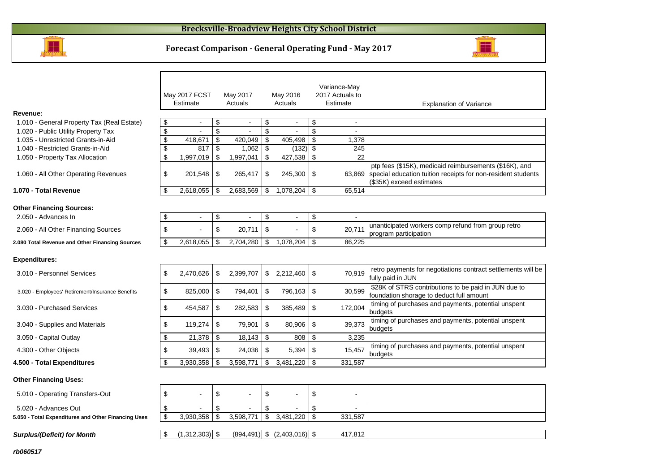#### **Brecksville-Broadview Heights City School District**





|                                                        |                         | May 2017 FCST            |                         | May 2017       |                         | May 2016                        |     | Variance-May<br>2017 Actuals to |                                                                                                                                                    |
|--------------------------------------------------------|-------------------------|--------------------------|-------------------------|----------------|-------------------------|---------------------------------|-----|---------------------------------|----------------------------------------------------------------------------------------------------------------------------------------------------|
|                                                        |                         | Estimate                 |                         | Actuals        |                         | Actuals                         |     | Estimate                        | <b>Explanation of Variance</b>                                                                                                                     |
| Revenue:                                               |                         |                          |                         |                |                         |                                 |     |                                 |                                                                                                                                                    |
| 1.010 - General Property Tax (Real Estate)             | \$                      | $\sim$                   | \$                      | $\blacksquare$ | \$                      | $\blacksquare$                  | \$  | $\blacksquare$                  |                                                                                                                                                    |
| 1.020 - Public Utility Property Tax                    | \$                      | $\sim$                   | \$                      | $\mathbf{r}$   | \$                      | $\sim$                          | \$  | $\sim$                          |                                                                                                                                                    |
| 1.035 - Unrestricted Grants-in-Aid                     | \$                      | 418,671                  | \$                      | 420,049        | \$                      | 405,498                         | \$  | 1,378                           |                                                                                                                                                    |
| 1.040 - Restricted Grants-in-Aid                       | $\overline{\mathbf{e}}$ | 817                      | \$                      | 1,062          | $\overline{\mathbf{S}}$ | $(132)$ \$                      |     | $\overline{245}$                |                                                                                                                                                    |
| 1.050 - Property Tax Allocation                        | \$                      | 1,997,019                | $\sqrt[6]{\frac{1}{2}}$ | 1,997,041      | \$                      | 427,538                         | \$  | $\overline{22}$                 |                                                                                                                                                    |
| 1.060 - All Other Operating Revenues                   | \$                      | 201,548                  | \$                      | 265,417        | \$                      | 245,300                         | -\$ | 63.869                          | ptp fees (\$15K), medicaid reimbursements (\$16K), and<br>special education tuition receipts for non-resident students<br>(\$35K) exceed estimates |
| 1.070 - Total Revenue                                  | \$                      | 2,618,055                | \$                      | 2,683,569      | \$                      | 1,078,204                       | \$  | 65,514                          |                                                                                                                                                    |
| <b>Other Financing Sources:</b><br>2.050 - Advances In | \$                      | $\overline{\phantom{a}}$ | \$                      |                | \$                      | $\blacksquare$                  | \$  | $\blacksquare$                  |                                                                                                                                                    |
| 2.060 - All Other Financing Sources                    | \$                      |                          | \$                      | 20.711         | \$                      |                                 | \$  | 20.711                          | unanticipated workers comp refund from group retro<br>program participation                                                                        |
| 2.080 Total Revenue and Other Financing Sources        | \$                      | 2,618,055                | \$                      | 2,704,280      | \$                      | 1,078,204                       | \$  | 86,225                          |                                                                                                                                                    |
| <b>Expenditures:</b>                                   |                         |                          |                         |                |                         |                                 |     |                                 | retro payments for negotiations contract settlements will be                                                                                       |
| 3.010 - Personnel Services                             | \$                      | 2,470,626                | \$                      | 2,399,707      |                         | \$2,212,460                     | \$  | 70,919                          | fully paid in JUN<br>\$28K of STRS contributions to be paid in JUN due to                                                                          |
| 3.020 - Employees' Retirement/Insurance Benefits       | \$                      | 825,000                  | \$                      | 794,401        | \$                      | 796,163                         | -\$ | 30,599                          | foundation shorage to deduct full amount                                                                                                           |
| 3.030 - Purchased Services                             | \$                      | 454,587                  | \$                      | 282,583        | \$                      | 385,489                         | \$  | 172,004                         | timing of purchases and payments, potential unspent<br>budgets                                                                                     |
| 3.040 - Supplies and Materials                         | \$                      | 119,274                  | \$                      | 79,901         | \$                      | 80,906                          | \$  | 39,373                          | timing of purchases and payments, potential unspent<br>budgets                                                                                     |
| 3.050 - Capital Outlay                                 | \$                      | 21,378                   | \$                      | 18,143         | \$                      | 808                             | \$  | 3,235                           |                                                                                                                                                    |
| 4.300 - Other Objects                                  | \$                      | 39,493                   | \$                      | 24,036         | \$                      | 5,394                           | -\$ | 15,457                          | timing of purchases and payments, potential unspent<br>budgets                                                                                     |
| 4.500 - Total Expenditures                             | <sup>\$</sup>           | 3,930,358                | \$                      | 3,598,771      | \$                      | 3,481,220                       | -\$ | 331.587                         |                                                                                                                                                    |
| <b>Other Financing Uses:</b>                           |                         |                          |                         |                |                         |                                 |     |                                 |                                                                                                                                                    |
| 5.010 - Operating Transfers-Out                        | \$                      | $\blacksquare$           | \$                      |                | \$                      | $\overline{a}$                  | \$  | ۳                               |                                                                                                                                                    |
| 5.020 - Advances Out                                   | \$                      |                          | \$                      |                | \$                      |                                 | \$  | ÷                               |                                                                                                                                                    |
| 5.050 - Total Expenditures and Other Financing Uses    | \$                      | 3,930,358                | \$                      | 3,598,771      | \$                      | 3,481,220                       | \$  | 331,587                         |                                                                                                                                                    |
| <b>Surplus/(Deficit) for Month</b>                     | \$                      | (1,312,303)              | $\sqrt[6]{\frac{1}{2}}$ |                |                         | $(894,491)$ \$ $(2,403,016)$ \$ |     | 417,812                         |                                                                                                                                                    |
| rb060517                                               |                         |                          |                         |                |                         |                                 |     |                                 |                                                                                                                                                    |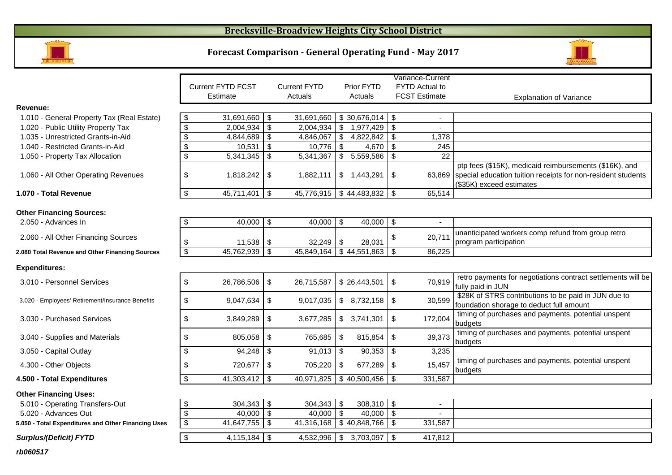### **Brecksville-Broadview Heights City School District**



## **Forecast Comparison - General Operating Fund - May 2017**



|                                                     |                           |                          |               |                           |            |                      |     | Variance-Current     |                                                              |
|-----------------------------------------------------|---------------------------|--------------------------|---------------|---------------------------|------------|----------------------|-----|----------------------|--------------------------------------------------------------|
|                                                     |                           | <b>Current FYTD FCST</b> |               | <b>Current FYTD</b>       |            | Prior FYTD           |     | FYTD Actual to       |                                                              |
|                                                     |                           | Estimate                 |               | Actuals                   |            | Actuals              |     | <b>FCST Estimate</b> | <b>Explanation of Variance</b>                               |
| Revenue:                                            |                           |                          |               |                           |            |                      |     |                      |                                                              |
| 1.010 - General Property Tax (Real Estate)          | $\sqrt{3}$                | 31,691,660               | -\$           | 31,691,660                |            | $$30,676,014$ \\$    |     |                      |                                                              |
| 1.020 - Public Utility Property Tax                 | $\overline{\mathcal{S}}$  | 2,004,934                | $\sqrt[6]{3}$ | 2,004,934                 | ها         | 1,977,429            | \$  |                      |                                                              |
| 1.035 - Unrestricted Grants-in-Aid                  | $\overline{\mathbf{3}}$   | 4,844,689                | \$            | 4,846,067                 |            | \$4,822,842          | \$  | 1,378                |                                                              |
| 1.040 - Restricted Grants-in-Aid                    | $\mathbf{\$}$             | 10,531                   | \$            | 10,776                    | $\bullet$  | 4,670                | \$  | 245                  |                                                              |
| 1.050 - Property Tax Allocation                     | $\sqrt[6]{\frac{1}{2}}$   | 5,341,345                | \$            | 5,341,367                 |            | \$5,559,586          | \$  | 22                   |                                                              |
|                                                     |                           |                          |               |                           |            |                      |     |                      | ptp fees (\$15K), medicaid reimbursements (\$16K), and       |
| 1.060 - All Other Operating Revenues                | \$                        | 1,818,242                | -\$           | 1,882,111                 |            | \$1,443,291          | \$  | 63,869               | special education tuition receipts for non-resident students |
|                                                     |                           |                          |               |                           |            |                      |     |                      | (\$35K) exceed estimates                                     |
| 1.070 - Total Revenue                               | $\frac{1}{2}$             | 45,711,401               | \$            | 45,776,915 \$44,483,832   |            |                      | \$  | 65,514               |                                                              |
|                                                     |                           |                          |               |                           |            |                      |     |                      |                                                              |
| <b>Other Financing Sources:</b>                     |                           |                          |               |                           |            |                      |     |                      |                                                              |
| 2.050 - Advances In                                 | \$                        | 40,000                   | $\sqrt[6]{3}$ | 40,000                    | $\sqrt{3}$ | 40,000               | \$  |                      |                                                              |
| 2.060 - All Other Financing Sources                 |                           |                          |               |                           |            |                      | \$  | 20,711               | unanticipated workers comp refund from group retro           |
|                                                     | \$                        | 11,538                   | \$            | $32,249$ \ \$             |            | 28,031               |     |                      | program participation                                        |
| 2.080 Total Revenue and Other Financing Sources     | $\overline{\mathbf{3}}$   | 45,762,939               | $\sqrt[6]{3}$ | 45,849,164                |            | $\sqrt{$}44,551,863$ | \$  | 86,225               |                                                              |
| <b>Expenditures:</b>                                |                           |                          |               |                           |            |                      |     |                      |                                                              |
|                                                     |                           |                          |               |                           |            |                      |     |                      | retro payments for negotiations contract settlements will be |
| 3.010 - Personnel Services                          | \$                        | 26,786,506               | $\sqrt[6]{3}$ | 26,715,587                |            | \$26,443,501         | \$  | 70,919               | fully paid in JUN                                            |
|                                                     |                           |                          |               |                           |            |                      |     |                      | \$28K of STRS contributions to be paid in JUN due to         |
| 3.020 - Employees' Retirement/Insurance Benefits    | \$                        | 9,047,634                | \$            | 9,017,035                 |            | \$8,732,158          | \$  | 30,599               | foundation shorage to deduct full amount                     |
|                                                     |                           |                          |               |                           |            |                      |     |                      | timing of purchases and payments, potential unspent          |
| 3.030 - Purchased Services                          | \$                        | 3,849,289                | \$            | 3,677,285                 |            | \$3,741,301          | \$  | 172,004              | budgets                                                      |
| 3.040 - Supplies and Materials                      | \$                        | 805,058                  | $\sqrt[6]{3}$ | 765,685                   | $\sqrt{3}$ | 815,854              | \$  | 39,373               | timing of purchases and payments, potential unspent          |
|                                                     |                           |                          |               |                           |            |                      |     |                      | budgets                                                      |
| 3.050 - Capital Outlay                              | $\sqrt[6]{2}$             | 94,248                   | -\$           | $91,013$ \$               |            | 90,353               | -\$ | 3,235                |                                                              |
| 4.300 - Other Objects                               | \$                        | 720,677                  | $\sqrt[6]{3}$ | 705,220                   | -\$        | 677,289              | -\$ | 15,457               | timing of purchases and payments, potential unspent          |
|                                                     |                           |                          |               |                           |            |                      |     |                      | budgets                                                      |
| 4.500 - Total Expenditures                          | $\sqrt[6]{\frac{1}{2}}$   | $41,303,412$ \$          |               | 40,971,825                |            | \$40,500,456         | \$  | 331,587              |                                                              |
| <b>Other Financing Uses:</b>                        |                           |                          |               |                           |            |                      |     |                      |                                                              |
| 5.010 - Operating Transfers-Out                     | -\$                       | 304,343                  | $\sqrt[6]{3}$ | $304,343$ \$              |            | 308,310              | \$  |                      |                                                              |
| 5.020 - Advances Out                                | $\overline{\mathcal{S}}$  | 40,000                   | \$            | 40,000                    | $\sqrt{ }$ | 40,000               | -\$ |                      |                                                              |
| 5.050 - Total Expenditures and Other Financing Uses | $\boldsymbol{\mathsf{S}}$ | 41,647,755 $\frac{1}{3}$ |               | 41,316,168   \$40,848,766 |            |                      | \$  | 331,587              |                                                              |
| <b>Surplus/(Deficit) FYTD</b>                       | $\sqrt[6]{3}$             | $4,115,184$ \$           |               | 4,532,996                 | l \$       | $3,703,097$ \$       |     | 417,812              |                                                              |
|                                                     |                           |                          |               |                           |            |                      |     |                      |                                                              |
| rb060517                                            |                           |                          |               |                           |            |                      |     |                      |                                                              |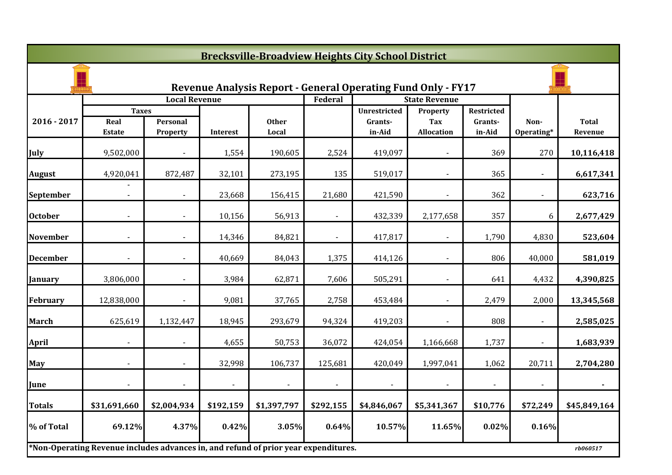|                 | <b>Brecksville-Broadview Heights City School District</b>                           |                      |              |                |                |                                                                     |                          |                   |                    |              |  |  |  |
|-----------------|-------------------------------------------------------------------------------------|----------------------|--------------|----------------|----------------|---------------------------------------------------------------------|--------------------------|-------------------|--------------------|--------------|--|--|--|
|                 |                                                                                     |                      |              |                |                | <b>Revenue Analysis Report - General Operating Fund Only - FY17</b> |                          |                   |                    |              |  |  |  |
|                 |                                                                                     | <b>Local Revenue</b> |              |                | Federal        |                                                                     | <b>State Revenue</b>     |                   |                    |              |  |  |  |
| 2016 - 2017     | <b>Taxes</b><br>Real                                                                | Personal             |              | <b>Other</b>   |                | <b>Unrestricted</b><br>Grants-                                      | Property                 | <b>Restricted</b> |                    | <b>Total</b> |  |  |  |
|                 | <b>Estate</b>                                                                       | Property             | Interest     | Local          |                | in-Aid                                                              | Tax<br><b>Allocation</b> | Grants-<br>in-Aid | Non-<br>Operating* | Revenue      |  |  |  |
| July            | 9,502,000                                                                           |                      | 1,554        | 190,605        | 2,524          | 419,097                                                             |                          | 369               | 270                | 10,116,418   |  |  |  |
| <b>August</b>   | 4,920,041                                                                           | 872,487              | 32,101       | 273,195        | 135            | 519,017                                                             | $\blacksquare$           | 365               | $\blacksquare$     | 6,617,341    |  |  |  |
| September       |                                                                                     |                      | 23,668       | 156,415        | 21,680         | 421,590                                                             | $\blacksquare$           | 362               |                    | 623,716      |  |  |  |
| <b>October</b>  |                                                                                     |                      | 10,156       | 56,913         |                | 432,339                                                             | 2,177,658                | 357               | 6                  | 2,677,429    |  |  |  |
| <b>November</b> |                                                                                     |                      | 14,346       | 84,821         |                | 417,817                                                             |                          | 1,790             | 4,830              | 523,604      |  |  |  |
| <b>December</b> |                                                                                     |                      | 40,669       | 84,043         | 1,375          | 414,126                                                             |                          | 806               | 40,000             | 581,019      |  |  |  |
| <b>January</b>  | 3,806,000                                                                           |                      | 3,984        | 62,871         | 7,606          | 505,291                                                             | $\blacksquare$           | 641               | 4,432              | 4,390,825    |  |  |  |
| <b>February</b> | 12,838,000                                                                          | $\blacksquare$       | 9,081        | 37,765         | 2,758          | 453,484                                                             | $\sim$                   | 2,479             | 2,000              | 13,345,568   |  |  |  |
| <b>March</b>    | 625,619                                                                             | 1,132,447            | 18,945       | 293,679        | 94,324         | 419,203                                                             |                          | 808               |                    | 2,585,025    |  |  |  |
| <b>April</b>    |                                                                                     |                      | 4,655        | 50,753         | 36,072         | 424,054                                                             | 1,166,668                | 1,737             |                    | 1,683,939    |  |  |  |
| <b>May</b>      |                                                                                     |                      | 32,998       | 106,737        | 125,681        | 420,049                                                             | 1,997,041                | 1,062             | 20,711             | 2,704,280    |  |  |  |
| June            | $\blacksquare$                                                                      | $\blacksquare$       | $\mathbf{L}$ | $\blacksquare$ | $\blacksquare$ | $\blacksquare$                                                      | $\blacksquare$           | $\blacksquare$    | $\blacksquare$     | $\sim$       |  |  |  |
| <b>Totals</b>   | \$31,691,660                                                                        | \$2,004,934          | \$192,159    | \$1,397,797    | \$292,155      | \$4,846,067                                                         | \$5,341,367              | \$10,776          | \$72,249           | \$45,849,164 |  |  |  |
| % of Total      | 69.12%                                                                              | 4.37%                | 0.42%        | 3.05%          | 0.64%          | 10.57%                                                              | 11.65%                   | 0.02%             | 0.16%              |              |  |  |  |
|                 | *Non-Operating Revenue includes advances in, and refund of prior year expenditures. |                      |              |                |                |                                                                     |                          |                   |                    | rb060517     |  |  |  |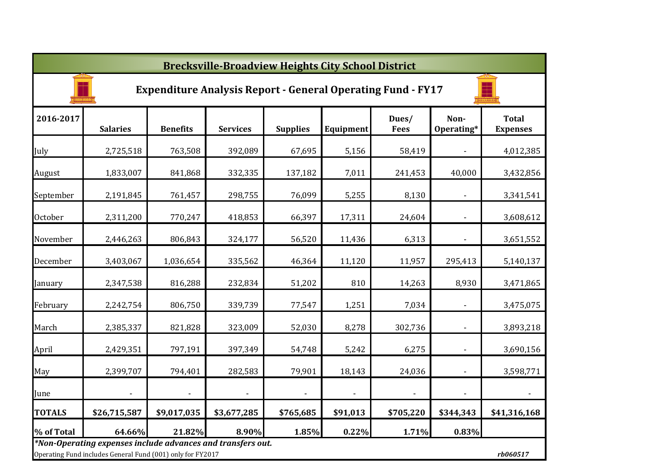|                | <b>Brecksville-Broadview Heights City School District</b>                                                                 |                 |                 |                 |                |                                                                    |                          |                                 |  |  |  |  |
|----------------|---------------------------------------------------------------------------------------------------------------------------|-----------------|-----------------|-----------------|----------------|--------------------------------------------------------------------|--------------------------|---------------------------------|--|--|--|--|
|                |                                                                                                                           |                 |                 |                 |                | <b>Expenditure Analysis Report - General Operating Fund - FY17</b> |                          |                                 |  |  |  |  |
| 2016-2017      | <b>Salaries</b>                                                                                                           | <b>Benefits</b> | <b>Services</b> | <b>Supplies</b> | Equipment      | Dues/<br><b>Fees</b>                                               | Non-<br>Operating*       | <b>Total</b><br><b>Expenses</b> |  |  |  |  |
| July           | 2,725,518                                                                                                                 | 763,508         | 392,089         | 67,695          | 5,156          | 58,419                                                             | $\blacksquare$           | 4,012,385                       |  |  |  |  |
| August         | 1,833,007                                                                                                                 | 841,868         | 332,335         | 137,182         | 7,011          | 241,453                                                            | 40,000                   | 3,432,856                       |  |  |  |  |
| September      | 2,191,845                                                                                                                 | 761,457         | 298,755         | 76,099          | 5,255          | 8,130                                                              | $\blacksquare$           | 3,341,541                       |  |  |  |  |
| <b>October</b> | 2,311,200                                                                                                                 | 770,247         | 418,853         | 66,397          | 17,311         | 24,604                                                             | $\overline{\phantom{a}}$ | 3,608,612                       |  |  |  |  |
| November       | 2,446,263                                                                                                                 | 806,843         | 324,177         | 56,520          | 11,436         | 6,313                                                              | $\blacksquare$           | 3,651,552                       |  |  |  |  |
| December       | 3,403,067                                                                                                                 | 1,036,654       | 335,562         | 46,364          | 11,120         | 11,957                                                             | 295,413                  | 5,140,137                       |  |  |  |  |
| January        | 2,347,538                                                                                                                 | 816,288         | 232,834         | 51,202          | 810            | 14,263                                                             | 8,930                    | 3,471,865                       |  |  |  |  |
| February       | 2,242,754                                                                                                                 | 806,750         | 339,739         | 77,547          | 1,251          | 7,034                                                              | $\overline{\phantom{a}}$ | 3,475,075                       |  |  |  |  |
| March          | 2,385,337                                                                                                                 | 821,828         | 323,009         | 52,030          | 8,278          | 302,736                                                            | $\overline{\phantom{a}}$ | 3,893,218                       |  |  |  |  |
| April          | 2,429,351                                                                                                                 | 797,191         | 397,349         | 54,748          | 5,242          | 6,275                                                              | $\blacksquare$           | 3,690,156                       |  |  |  |  |
| May            | 2,399,707                                                                                                                 | 794,401         | 282,583         | 79,901          | 18,143         | 24,036                                                             | $\blacksquare$           | 3,598,771                       |  |  |  |  |
| June           |                                                                                                                           |                 |                 |                 | $\blacksquare$ | $\sim$                                                             |                          | $\blacksquare$                  |  |  |  |  |
| <b>TOTALS</b>  | \$26,715,587                                                                                                              | \$9,017,035     | \$3,677,285     | \$765,685       | \$91,013       | \$705,220                                                          | \$344,343                | \$41,316,168                    |  |  |  |  |
| % of Total     | 64.66%                                                                                                                    | 21.82%          | 8.90%           | 1.85%           | 0.22%          | 1.71%                                                              | 0.83%                    |                                 |  |  |  |  |
|                | *Non-Operating expenses include advances and transfers out.<br>Operating Fund includes General Fund (001) only for FY2017 |                 |                 |                 |                |                                                                    |                          | rb060517                        |  |  |  |  |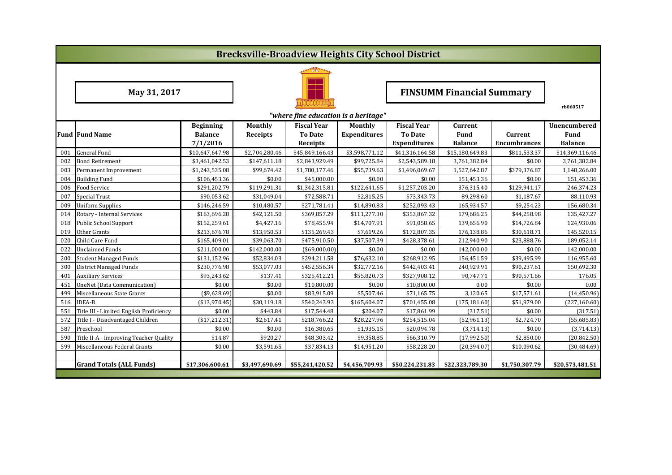|     | <b>Brecksville-Broadview Heights City School District</b> |                                  |                 |                                      |                     |                     |                 |                     |                 |  |  |  |
|-----|-----------------------------------------------------------|----------------------------------|-----------------|--------------------------------------|---------------------|---------------------|-----------------|---------------------|-----------------|--|--|--|
|     |                                                           |                                  |                 |                                      |                     |                     |                 |                     |                 |  |  |  |
|     | May 31, 2017                                              | <b>FINSUMM Financial Summary</b> |                 |                                      |                     |                     |                 |                     |                 |  |  |  |
|     |                                                           |                                  |                 | "where fine education is a heritage" |                     |                     |                 |                     | rb060517        |  |  |  |
|     |                                                           | <b>Beginning</b>                 | Monthly         | <b>Fiscal Year</b>                   | Monthly             | <b>Fiscal Year</b>  | Current         |                     | Unencumbered    |  |  |  |
|     | <b>Fund Fund Name</b>                                     | <b>Balance</b>                   | <b>Receipts</b> | <b>To Date</b>                       | <b>Expenditures</b> | <b>To Date</b>      | Fund            | Current             | Fund            |  |  |  |
|     |                                                           | 7/1/2016                         |                 | Receipts                             |                     | <b>Expenditures</b> | <b>Balance</b>  | <b>Encumbrances</b> | <b>Balance</b>  |  |  |  |
| 001 | <b>General Fund</b>                                       | \$10,647,647.98                  | \$2,704,280.46  | \$45,849,166.43                      | \$3,598,771.12      | \$41,316,164.58     | \$15,180,649.83 | \$811,533.37        | \$14,369,116.46 |  |  |  |
| 002 | Bond Retirement                                           | \$3,461,042.53                   | \$147,611.18    | \$2,843,929.49                       | \$99,725.84         | \$2,543,589.18      | 3,761,382.84    | \$0.00              | 3,761,382.84    |  |  |  |
| 003 | Permanent Improvement                                     | \$1,243,535.08                   | \$99,674.42     | \$1,780,177.46                       | \$55,739.63         | \$1,496,069.67      | 1,527,642.87    | \$379,376.87        | 1,148,266.00    |  |  |  |
| 004 | <b>Building Fund</b>                                      | \$106,453.36                     | \$0.00          | \$45,000.00                          | \$0.00              | \$0.00              | 151,453.36      | \$0.00              | 151,453.36      |  |  |  |
| 006 | Food Service                                              | \$291,202.79                     | \$119,291.31    | \$1,342,315.81                       | \$122,641.65        | \$1,257,203.20      | 376,315.40      | \$129,941.17        | 246,374.23      |  |  |  |
| 007 | Special Trust                                             | \$90,053.62                      | \$31,049.04     | \$72,588.71                          | \$2,815.25          | \$73,343.73         | 89,298.60       | \$1,187.67          | 88,110.93       |  |  |  |
| 009 | <b>Uniform Supplies</b>                                   | \$146,246.59                     | \$10,480.57     | \$271,781.41                         | \$14,890.83         | \$252,093.43        | 165,934.57      | \$9,254.23          | 156,680.34      |  |  |  |
| 014 | Rotary - Internal Services                                | \$163,696.28                     | \$42,121.50     | \$369,857.29                         | \$111,277.30        | \$353,867.32        | 179,686.25      | \$44,258.98         | 135,427.27      |  |  |  |
| 018 | <b>Public School Support</b>                              | \$152,259.61                     | \$4,427.16      | \$78,455.94                          | \$14,707.91         | \$91,058.65         | 139,656.90      | \$14,726.84         | 124,930.06      |  |  |  |
| 019 | Other Grants                                              | \$213,676.78                     | \$13,950.53     | \$135,269.43                         | \$7,619.26          | \$172,807.35        | 176,138.86      | \$30,618.71         | 145,520.15      |  |  |  |
| 020 | Child Care Fund                                           | \$165,409.01                     | \$39,063.70     | \$475,910.50                         | \$37,507.39         | \$428,378.61        | 212,940.90      | \$23,888.76         | 189,052.14      |  |  |  |
| 022 | <b>Unclaimed Funds</b>                                    | \$211,000.00                     | \$142,000.00    | $($ \$69,000.00)                     | \$0.00              | \$0.00              | 142,000.00      | \$0.00              | 142,000.00      |  |  |  |
| 200 | <b>Student Managed Funds</b>                              | \$131,152.96                     | \$52,834.03     | \$294,211.58                         | \$76,632.10         | \$268,912.95        | 156,451.59      | \$39,495.99         | 116,955.60      |  |  |  |
| 300 | <b>District Managed Funds</b>                             | \$230,776.98                     | \$53,077.03     | \$452,556.34                         | \$32,772.16         | \$442,403.41        | 240,929.91      | \$90,237.61         | 150,692.30      |  |  |  |
| 401 | <b>Auxiliary Services</b>                                 | \$93,243.62                      | \$137.41        | \$325,412.21                         | \$55,820.73         | \$327,908.12        | 90,747.71       | \$90,571.66         | 176.05          |  |  |  |
| 451 | OneNet (Data Communication)                               | \$0.00                           | \$0.00          | \$10,800.00                          | \$0.00              | \$10,800.00         | 0.00            | \$0.00              | 0.00            |  |  |  |
| 499 | Miscellaneous State Grants                                | (\$9,628.69)                     | \$0.00          | \$83,915.09                          | \$5,507.46          | \$71,165.75         | 3,120.65        | \$17,571.61         | (14, 450.96)    |  |  |  |
| 516 | <b>IDEA-B</b>                                             | ( \$13,970.45)                   | \$30,119.18     | \$540,243.93                         | \$165,604.07        | \$701,455.08        | (175, 181.60)   | \$51,979.00         | (227, 160.60)   |  |  |  |
| 551 | Title III - Limited English Proficiency                   | \$0.00                           | \$443.84        | \$17,544.48                          | \$204.07            | \$17,861.99         | (317.51)        | \$0.00              | (317.51)        |  |  |  |
| 572 | Title I - Disadvantaged Children                          | (\$17,212.31)                    | \$2,617.41      | \$218,766.22                         | \$28,227.96         | \$254,515.04        | (52,961.13)     | \$2,724.70          | (55,685.83)     |  |  |  |
| 587 | Preschool                                                 | \$0.00                           | \$0.00          | \$16,380.65                          | \$1,935.15          | \$20,094.78         | (3,714.13)      | \$0.00              | (3,714.13)      |  |  |  |
| 590 | Title II-A - Improving Teacher Quality                    | \$14.87                          | \$920.27        | \$48,303.42                          | \$9,358.85          | \$66,310.79         | (17,992.50)     | \$2,850.00          | (20, 842.50)    |  |  |  |
| 599 | Miscellaneous Federal Grants                              | \$0.00                           | \$3,591.65      | \$37,834.13                          | \$14,951.20         | \$58,228.20         | (20, 394.07)    | \$10,090.62         | (30, 484.69)    |  |  |  |
|     |                                                           |                                  |                 |                                      |                     |                     |                 |                     |                 |  |  |  |
|     | <b>Grand Totals (ALL Funds)</b>                           | \$17,306,600.61                  | \$3,497,690.69  | \$55,241,420.52                      | \$4,456,709.93      | \$50,224,231.83     | \$22,323,789.30 | \$1,750,307.79      | \$20,573,481.51 |  |  |  |
|     |                                                           |                                  |                 |                                      |                     |                     |                 |                     |                 |  |  |  |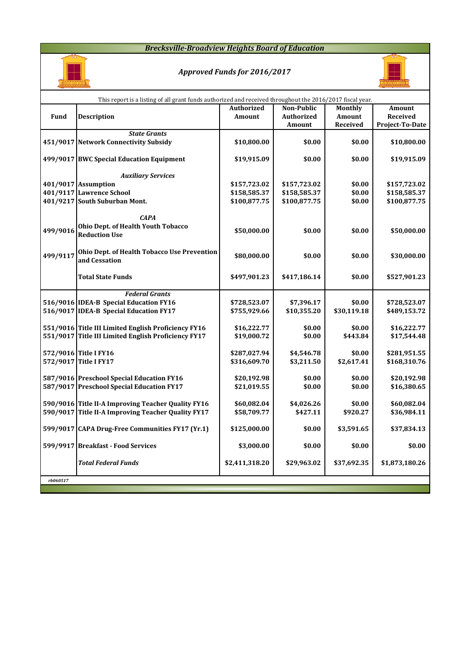#### *Brecksville-Broadview Heights Board of Education*



# *Approved Funds for 2016/2017*



| This report is a listing of all grant funds authorized and received throughout the 2016/2017 fiscal year. |                                                                                        |                              |                              |                  |                              |  |  |  |  |  |  |
|-----------------------------------------------------------------------------------------------------------|----------------------------------------------------------------------------------------|------------------------------|------------------------------|------------------|------------------------------|--|--|--|--|--|--|
|                                                                                                           |                                                                                        | <b>Authorized</b>            | Non-Public                   | <b>Monthly</b>   | Amount                       |  |  |  |  |  |  |
| Fund                                                                                                      | <b>Description</b>                                                                     | <b>Amount</b>                | <b>Authorized</b>            | Amount           | Received                     |  |  |  |  |  |  |
|                                                                                                           |                                                                                        |                              | Amount                       | Received         | Project-To-Date              |  |  |  |  |  |  |
|                                                                                                           | <b>State Grants</b>                                                                    |                              |                              |                  |                              |  |  |  |  |  |  |
|                                                                                                           | 451/9017 Network Connectivity Subsidy                                                  | \$10,800.00                  | \$0.00                       | \$0.00           | \$10,800.00                  |  |  |  |  |  |  |
|                                                                                                           |                                                                                        |                              |                              |                  |                              |  |  |  |  |  |  |
|                                                                                                           | 499/9017 BWC Special Education Equipment                                               | \$19,915.09                  | \$0.00                       | \$0.00           | \$19,915.09                  |  |  |  |  |  |  |
|                                                                                                           |                                                                                        |                              |                              |                  |                              |  |  |  |  |  |  |
|                                                                                                           | <b>Auxiliary Services</b><br>401/9017 Assumption                                       |                              |                              | \$0.00           |                              |  |  |  |  |  |  |
|                                                                                                           | 401/9117 Lawrence School                                                               | \$157,723.02<br>\$158,585.37 | \$157,723.02<br>\$158,585.37 | \$0.00           | \$157,723.02<br>\$158,585.37 |  |  |  |  |  |  |
|                                                                                                           | 401/9217 South Suburban Mont.                                                          | \$100,877.75                 | \$100,877.75                 | \$0.00           | \$100,877.75                 |  |  |  |  |  |  |
|                                                                                                           |                                                                                        |                              |                              |                  |                              |  |  |  |  |  |  |
|                                                                                                           | <b>CAPA</b>                                                                            |                              |                              |                  |                              |  |  |  |  |  |  |
|                                                                                                           | Ohio Dept. of Health Youth Tobacco                                                     |                              |                              |                  |                              |  |  |  |  |  |  |
| 499/9016                                                                                                  | <b>Reduction Use</b>                                                                   | \$50,000.00                  | \$0.00                       | \$0.00           | \$50,000.00                  |  |  |  |  |  |  |
|                                                                                                           |                                                                                        |                              |                              |                  |                              |  |  |  |  |  |  |
| 499/9117                                                                                                  | Ohio Dept. of Health Tobacco Use Prevention                                            | \$80,000.00                  | \$0.00                       | \$0.00           | \$30,000.00                  |  |  |  |  |  |  |
|                                                                                                           | and Cessation                                                                          |                              |                              |                  |                              |  |  |  |  |  |  |
|                                                                                                           |                                                                                        |                              |                              |                  |                              |  |  |  |  |  |  |
|                                                                                                           | Total State Funds                                                                      | \$497,901.23                 | \$417,186.14                 | \$0.00           | \$527,901.23                 |  |  |  |  |  |  |
|                                                                                                           | <b>Federal Grants</b>                                                                  |                              |                              |                  |                              |  |  |  |  |  |  |
|                                                                                                           | 516/9016 IDEA-B Special Education FY16                                                 | \$728,523.07                 | \$7,396.17                   | \$0.00           | \$728,523.07                 |  |  |  |  |  |  |
|                                                                                                           | 516/9017 IDEA-B Special Education FY17                                                 | \$755,929.66                 | \$10,355.20                  | \$30,119.18      | \$489,153.72                 |  |  |  |  |  |  |
|                                                                                                           |                                                                                        |                              |                              |                  |                              |  |  |  |  |  |  |
|                                                                                                           | 551/9016 Title III Limited English Proficiency FY16                                    | \$16,222.77                  | \$0.00                       | \$0.00           | \$16,222.77                  |  |  |  |  |  |  |
|                                                                                                           | 551/9017 Title III Limited English Proficiency FY17                                    | \$19,000.72                  | \$0.00                       | \$443.84         | \$17,544.48                  |  |  |  |  |  |  |
|                                                                                                           |                                                                                        |                              |                              |                  |                              |  |  |  |  |  |  |
|                                                                                                           | 572/9016 Title I FY16                                                                  | \$287,027.94                 | \$4,546.78                   | \$0.00           | \$281,951.55                 |  |  |  |  |  |  |
|                                                                                                           | 572/9017 Title I FY17                                                                  | \$316,609.70                 | \$3,211.50                   | \$2,617.41       | \$168,310.76                 |  |  |  |  |  |  |
|                                                                                                           |                                                                                        |                              |                              |                  |                              |  |  |  |  |  |  |
|                                                                                                           | 587/9016 Preschool Special Education FY16<br>587/9017 Preschool Special Education FY17 | \$20,192.98<br>\$21,019.55   | \$0.00<br>\$0.00             | \$0.00<br>\$0.00 | \$20,192.98<br>\$16,380.65   |  |  |  |  |  |  |
|                                                                                                           |                                                                                        |                              |                              |                  |                              |  |  |  |  |  |  |
|                                                                                                           | 590/9016 Title II-A Improving Teacher Quality FY16                                     | \$60,082.04                  | \$4,026.26                   | \$0.00           | \$60,082.04                  |  |  |  |  |  |  |
|                                                                                                           | 590/9017 Title II-A Improving Teacher Quality FY17                                     | \$58,709.77                  | \$427.11                     | \$920.27         | \$36,984.11                  |  |  |  |  |  |  |
|                                                                                                           |                                                                                        |                              |                              |                  |                              |  |  |  |  |  |  |
|                                                                                                           | 599/9017 CAPA Drug-Free Communities FY17 (Yr.1)                                        | \$125,000.00                 | \$0.00                       | \$3,591.65       | \$37,834.13                  |  |  |  |  |  |  |
|                                                                                                           |                                                                                        |                              |                              |                  |                              |  |  |  |  |  |  |
|                                                                                                           | 599/9917 Breakfast - Food Services                                                     | \$3,000.00                   | \$0.00                       | \$0.00           | \$0.00                       |  |  |  |  |  |  |
|                                                                                                           |                                                                                        |                              |                              |                  |                              |  |  |  |  |  |  |
|                                                                                                           | <b>Total Federal Funds</b>                                                             | \$2,411,318.20               | \$29,963.02                  | \$37,692.35      | \$1,873,180.26               |  |  |  |  |  |  |
|                                                                                                           |                                                                                        |                              |                              |                  |                              |  |  |  |  |  |  |
| rb060517                                                                                                  |                                                                                        |                              |                              |                  |                              |  |  |  |  |  |  |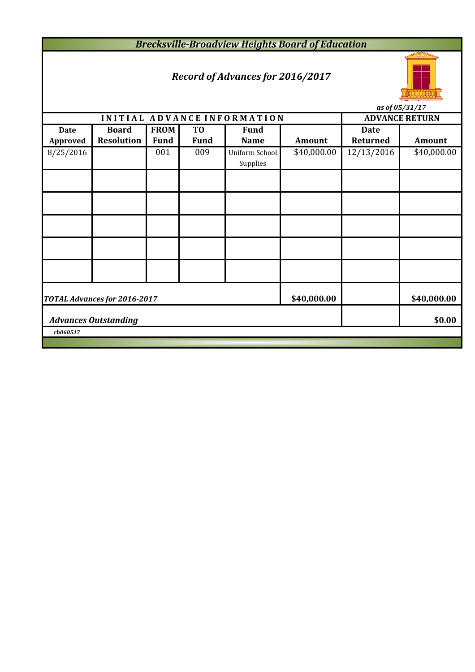*Brecksville-Broadview Heights Board of Education*

# *Record of Advances for 2016/2017*



*as of 05/31/17*

|                                       |                              |             |                |                             |             |             | $\frac{1}{2}$ us $\frac{1}{2}$ us $\frac{1}{2}$ us $\frac{1}{2}$ |  |  |
|---------------------------------------|------------------------------|-------------|----------------|-----------------------------|-------------|-------------|------------------------------------------------------------------|--|--|
|                                       |                              |             |                | INITIAL ADVANCE INFORMATION |             |             | <b>ADVANCE RETURN</b>                                            |  |  |
| <b>Date</b>                           | <b>Board</b>                 | <b>FROM</b> | T <sub>0</sub> | <b>Fund</b>                 |             | <b>Date</b> |                                                                  |  |  |
| <b>Approved</b>                       | <b>Resolution</b>            | <b>Fund</b> | <b>Fund</b>    | <b>Name</b>                 | Amount      | Returned    | <b>Amount</b>                                                    |  |  |
| 8/25/2016                             |                              | 001         | 009            | Uniform School              | \$40,000.00 | 12/13/2016  | \$40,000.00                                                      |  |  |
|                                       |                              |             |                | Supplies                    |             |             |                                                                  |  |  |
|                                       |                              |             |                |                             |             |             |                                                                  |  |  |
|                                       |                              |             |                |                             |             |             |                                                                  |  |  |
|                                       |                              |             |                |                             |             |             |                                                                  |  |  |
|                                       |                              |             |                |                             |             |             |                                                                  |  |  |
|                                       |                              |             |                |                             |             |             |                                                                  |  |  |
|                                       |                              |             |                |                             |             |             |                                                                  |  |  |
|                                       |                              |             |                |                             |             |             |                                                                  |  |  |
|                                       |                              |             |                |                             |             |             |                                                                  |  |  |
|                                       |                              |             |                |                             |             |             |                                                                  |  |  |
|                                       |                              |             |                |                             |             |             |                                                                  |  |  |
|                                       |                              |             |                |                             |             |             |                                                                  |  |  |
|                                       | TOTAL Advances for 2016-2017 |             |                |                             | \$40,000.00 |             | \$40,000.00                                                      |  |  |
|                                       |                              |             |                |                             |             |             |                                                                  |  |  |
| \$0.00<br><b>Advances Outstanding</b> |                              |             |                |                             |             |             |                                                                  |  |  |
| rb060517                              |                              |             |                |                             |             |             |                                                                  |  |  |
|                                       |                              |             |                |                             |             |             |                                                                  |  |  |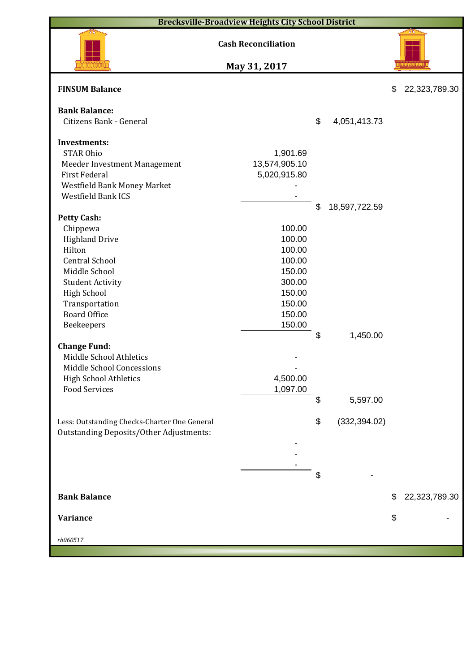| <b>Brecksville-Broadview Heights City School District</b>                                                                                                                                                                                                                                                                                                  |                                                                                                                          |          |                           |    |               |  |  |  |  |  |
|------------------------------------------------------------------------------------------------------------------------------------------------------------------------------------------------------------------------------------------------------------------------------------------------------------------------------------------------------------|--------------------------------------------------------------------------------------------------------------------------|----------|---------------------------|----|---------------|--|--|--|--|--|
| <b>Cash Reconciliation</b>                                                                                                                                                                                                                                                                                                                                 |                                                                                                                          |          |                           |    |               |  |  |  |  |  |
| May 31, 2017                                                                                                                                                                                                                                                                                                                                               |                                                                                                                          |          |                           |    |               |  |  |  |  |  |
| <b>FINSUM Balance</b>                                                                                                                                                                                                                                                                                                                                      |                                                                                                                          |          |                           | \$ | 22,323,789.30 |  |  |  |  |  |
| <b>Bank Balance:</b><br>Citizens Bank - General                                                                                                                                                                                                                                                                                                            |                                                                                                                          | \$       | 4,051,413.73              |    |               |  |  |  |  |  |
| <b>Investments:</b><br><b>STAR Ohio</b><br>Meeder Investment Management<br><b>First Federal</b><br>Westfield Bank Money Market<br><b>Westfield Bank ICS</b>                                                                                                                                                                                                | 1,901.69<br>13,574,905.10<br>5,020,915.80                                                                                |          |                           |    |               |  |  |  |  |  |
| <b>Petty Cash:</b><br>Chippewa<br><b>Highland Drive</b><br>Hilton<br><b>Central School</b><br>Middle School<br><b>Student Activity</b><br><b>High School</b><br>Transportation<br><b>Board Office</b><br>Beekeepers<br><b>Change Fund:</b><br>Middle School Athletics<br>Middle School Concessions<br><b>High School Athletics</b><br><b>Food Services</b> | 100.00<br>100.00<br>100.00<br>100.00<br>150.00<br>300.00<br>150.00<br>150.00<br>150.00<br>150.00<br>4,500.00<br>1,097.00 | \$<br>\$ | 18,597,722.59<br>1,450.00 |    |               |  |  |  |  |  |
| Less: Outstanding Checks-Charter One General<br><b>Outstanding Deposits/Other Adjustments:</b>                                                                                                                                                                                                                                                             |                                                                                                                          | \$<br>\$ | 5,597.00<br>(332, 394.02) |    |               |  |  |  |  |  |
|                                                                                                                                                                                                                                                                                                                                                            |                                                                                                                          | \$       |                           |    |               |  |  |  |  |  |
| <b>Bank Balance</b>                                                                                                                                                                                                                                                                                                                                        |                                                                                                                          |          |                           | \$ | 22,323,789.30 |  |  |  |  |  |
| <b>Variance</b>                                                                                                                                                                                                                                                                                                                                            |                                                                                                                          |          |                           | \$ |               |  |  |  |  |  |
| rb060517                                                                                                                                                                                                                                                                                                                                                   |                                                                                                                          |          |                           |    |               |  |  |  |  |  |
|                                                                                                                                                                                                                                                                                                                                                            |                                                                                                                          |          |                           |    |               |  |  |  |  |  |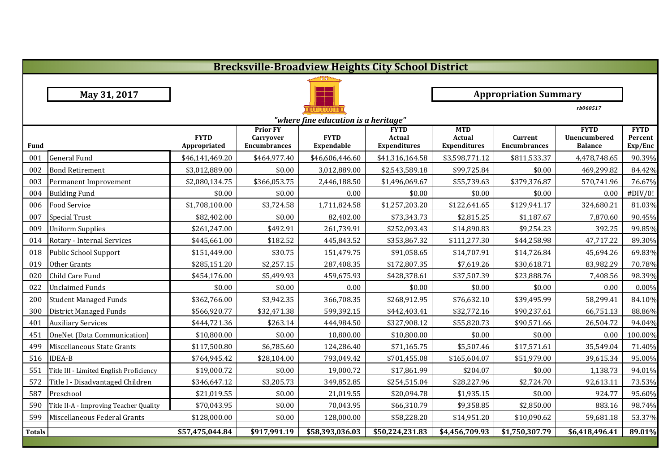|               | <b>Brecksville-Broadview Heights City School District</b> |                             |                                                     |                                      |                                              |                                                    |                                |                                                      |                                   |  |  |  |
|---------------|-----------------------------------------------------------|-----------------------------|-----------------------------------------------------|--------------------------------------|----------------------------------------------|----------------------------------------------------|--------------------------------|------------------------------------------------------|-----------------------------------|--|--|--|
|               |                                                           |                             |                                                     |                                      |                                              |                                                    |                                |                                                      |                                   |  |  |  |
|               | May 31, 2017                                              |                             |                                                     |                                      |                                              |                                                    | <b>Appropriation Summary</b>   |                                                      |                                   |  |  |  |
|               | rb060517                                                  |                             |                                                     |                                      |                                              |                                                    |                                |                                                      |                                   |  |  |  |
|               |                                                           |                             |                                                     | "where fine education is a heritage" |                                              |                                                    |                                |                                                      |                                   |  |  |  |
| <b>Fund</b>   |                                                           | <b>FYTD</b><br>Appropriated | <b>Prior FY</b><br>Carryover<br><b>Encumbrances</b> | <b>FYTD</b><br>Expendable            | <b>FYTD</b><br>Actual<br><b>Expenditures</b> | <b>MTD</b><br><b>Actual</b><br><b>Expenditures</b> | Current<br><b>Encumbrances</b> | <b>FYTD</b><br><b>Unencumbered</b><br><b>Balance</b> | <b>FYTD</b><br>Percent<br>Exp/Enc |  |  |  |
| 001           | <b>General Fund</b>                                       | \$46,141,469.20             | \$464,977.40                                        | \$46,606,446.60                      | \$41,316,164.58                              | \$3,598,771.12                                     | \$811,533.37                   | 4,478,748.65                                         | 90.39%                            |  |  |  |
| 002           | <b>Bond Retirement</b>                                    | \$3,012,889.00              | \$0.00                                              | 3,012,889.00                         | \$2,543,589.18                               | \$99,725.84                                        | \$0.00                         | 469,299.82                                           | 84.42%                            |  |  |  |
| 003           | Permanent Improvement                                     | \$2,080,134.75              | \$366,053.75                                        | 2,446,188.50                         | \$1,496,069.67                               | \$55,739.63                                        | \$379,376.87                   | 570,741.96                                           | 76.67%                            |  |  |  |
| 004           | <b>Building Fund</b>                                      | \$0.00                      | \$0.00                                              | 0.00                                 | \$0.00                                       | \$0.00                                             | \$0.00                         | 0.00                                                 | #DIV/0!                           |  |  |  |
| 006           | <b>Food Service</b>                                       | \$1,708,100.00              | \$3,724.58                                          | 1,711,824.58                         | \$1,257,203.20                               | \$122,641.65                                       | \$129,941.17                   | 324,680.21                                           | 81.03%                            |  |  |  |
| 007           | <b>Special Trust</b>                                      | \$82,402.00                 | \$0.00                                              | 82,402.00                            | \$73,343.73                                  | \$2,815.25                                         | \$1,187.67                     | 7,870.60                                             | 90.45%                            |  |  |  |
| 009           | <b>Uniform Supplies</b>                                   | \$261,247.00                | \$492.91                                            | 261,739.91                           | \$252,093.43                                 | \$14,890.83                                        | \$9,254.23                     | 392.25                                               | 99.85%                            |  |  |  |
| 014           | Rotary - Internal Services                                | \$445,661.00                | \$182.52                                            | 445,843.52                           | \$353,867.32                                 | \$111,277.30                                       | \$44,258.98                    | 47,717.22                                            | 89.30%                            |  |  |  |
| 018           | Public School Support                                     | \$151,449.00                | \$30.75                                             | 151,479.75                           | \$91,058.65                                  | \$14,707.91                                        | \$14,726.84                    | 45,694.26                                            | 69.83%                            |  |  |  |
| 019           | Other Grants                                              | \$285,151.20                | \$2,257.15                                          | 287,408.35                           | \$172,807.35                                 | \$7,619.26                                         | \$30,618.71                    | 83,982.29                                            | 70.78%                            |  |  |  |
| 020           | Child Care Fund                                           | \$454,176.00                | \$5,499.93                                          | 459,675.93                           | \$428,378.61                                 | \$37,507.39                                        | \$23,888.76                    | 7,408.56                                             | 98.39%                            |  |  |  |
| 022           | <b>Unclaimed Funds</b>                                    | \$0.00                      | \$0.00                                              | 0.00                                 | \$0.00                                       | \$0.00                                             | \$0.00                         | 0.00                                                 | 0.00%                             |  |  |  |
| 200           | <b>Student Managed Funds</b>                              | \$362,766.00                | \$3,942.35                                          | 366,708.35                           | \$268,912.95                                 | \$76,632.10                                        | \$39,495.99                    | 58,299.41                                            | 84.10%                            |  |  |  |
| 300           | <b>District Managed Funds</b>                             | \$566,920.77                | \$32,471.38                                         | 599,392.15                           | \$442,403.41                                 | \$32,772.16                                        | \$90,237.61                    | 66,751.13                                            | 88.86%                            |  |  |  |
| 401           | <b>Auxiliary Services</b>                                 | \$444,721.36                | \$263.14                                            | 444,984.50                           | \$327,908.12                                 | \$55,820.73                                        | \$90,571.66                    | 26,504.72                                            | 94.04%                            |  |  |  |
| 451           | OneNet (Data Communication)                               | \$10,800.00                 | \$0.00                                              | 10,800.00                            | \$10,800.00                                  | \$0.00                                             | \$0.00                         | 0.00                                                 | 100.00%                           |  |  |  |
| 499           | Miscellaneous State Grants                                | \$117,500.80                | \$6,785.60                                          | 124,286.40                           | \$71,165.75                                  | \$5,507.46                                         | \$17,571.61                    | 35,549.04                                            | 71.40%                            |  |  |  |
| 516           | <b>IDEA-B</b>                                             | \$764,945.42                | \$28,104.00                                         | 793,049.42                           | \$701,455.08                                 | \$165,604.07                                       | \$51,979.00                    | 39,615.34                                            | 95.00%                            |  |  |  |
| 551           | Title III - Limited English Proficiency                   | \$19,000.72                 | \$0.00                                              | 19,000.72                            | \$17,861.99                                  | \$204.07                                           | \$0.00                         | 1,138.73                                             | 94.01%                            |  |  |  |
| 572           | Title I - Disadvantaged Children                          | \$346,647.12                | \$3,205.73                                          | 349,852.85                           | \$254,515.04                                 | \$28,227.96                                        | \$2,724.70                     | 92,613.11                                            | 73.53%                            |  |  |  |
| 587           | Preschool                                                 | \$21,019.55                 | \$0.00                                              | 21,019.55                            | \$20,094.78                                  | \$1,935.15                                         | \$0.00                         | 924.77                                               | 95.60%                            |  |  |  |
| 590           | Title II-A - Improving Teacher Quality                    | \$70,043.95                 | \$0.00                                              | 70,043.95                            | \$66,310.79                                  | \$9,358.85                                         | \$2,850.00                     | 883.16                                               | 98.74%                            |  |  |  |
| 599           | Miscellaneous Federal Grants                              | \$128,000.00                | \$0.00                                              | 128,000.00                           | \$58,228.20                                  | \$14,951.20                                        | \$10,090.62                    | 59,681.18                                            | 53.37%                            |  |  |  |
| <b>Totals</b> |                                                           | \$57,475,044.84             | \$917,991.19                                        | \$58,393,036.03                      | $\overline{$}50,224,231.83$                  | \$4,456,709.93                                     | \$1,750,307.79                 | \$6,418,496.41                                       | 89.01%                            |  |  |  |